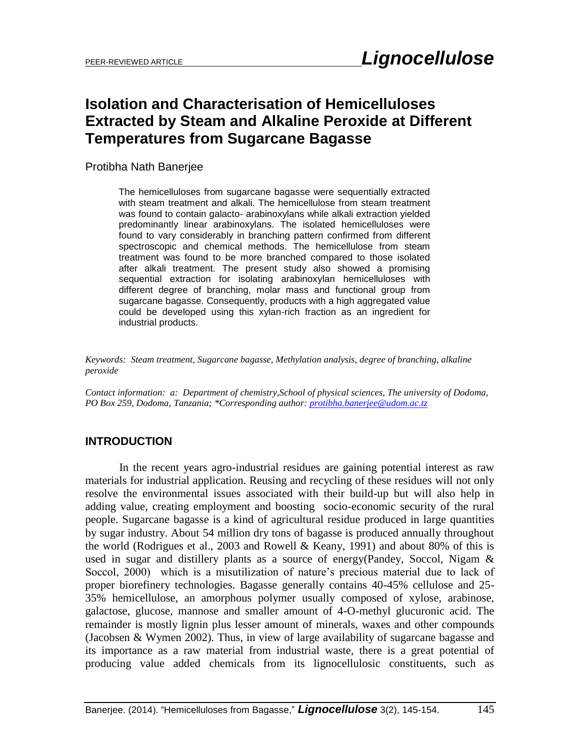# **Isolation and Characterisation of Hemicelluloses Extracted by Steam and Alkaline Peroxide at Different Temperatures from Sugarcane Bagasse**

#### Protibha Nath Banerjee

The hemicelluloses from sugarcane bagasse were sequentially extracted with steam treatment and alkali. The hemicellulose from steam treatment was found to contain galacto- arabinoxylans while alkali extraction yielded predominantly linear arabinoxylans. The isolated hemicelluloses were found to vary considerably in branching pattern confirmed from different spectroscopic and chemical methods. The hemicellulose from steam treatment was found to be more branched compared to those isolated after alkali treatment. The present study also showed a promising sequential extraction for isolating arabinoxylan hemicelluloses with different degree of branching, molar mass and functional group from sugarcane bagasse. Consequently, products with a high aggregated value could be developed using this xylan-rich fraction as an ingredient for industrial products.

*Keywords: Steam treatment, Sugarcane bagasse, Methylation analysis, degree of branching, alkaline peroxide* 

*Contact information: a: Department of chemistry,School of physical sciences, The university of Dodoma, PO Box 259, Dodoma, Tanzania; \*Corresponding author: [protibha.banerjee@udom.ac.tz](mailto:protibha.banerjee@udom.ac.tz)*

### **INTRODUCTION**

In the recent years agro-industrial residues are gaining potential interest as raw materials for industrial application. Reusing and recycling of these residues will not only resolve the environmental issues associated with their build-up but will also help in adding value, creating employment and boosting socio-economic security of the rural people. Sugarcane bagasse is a kind of agricultural residue produced in large quantities by sugar industry. About 54 million dry tons of bagasse is produced annually throughout the world (Rodrigues et al., 2003 and Rowell & Keany, 1991) and about 80% of this is used in sugar and distillery plants as a source of energy (Pandey, Soccol, Nigam  $\&$ Soccol, 2000) which is a misutilization of nature's precious material due to lack of proper biorefinery technologies. Bagasse generally contains 40-45% cellulose and 25- 35% hemicellulose, an amorphous polymer usually composed of xylose, arabinose, galactose, glucose, mannose and smaller amount of 4-O-methyl glucuronic acid. The remainder is mostly lignin plus lesser amount of minerals, waxes and other compounds (Jacobsen & Wymen 2002). Thus, in view of large availability of sugarcane bagasse and its importance as a raw material from industrial waste, there is a great potential of producing value added chemicals from its lignocellulosic constituents, such as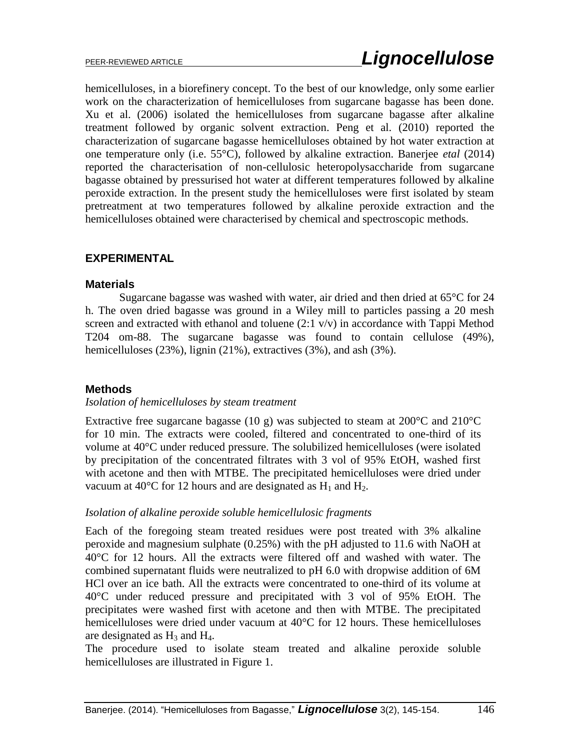hemicelluloses, in a biorefinery concept. To the best of our knowledge, only some earlier work on the characterization of hemicelluloses from sugarcane bagasse has been done. Xu et al. (2006) isolated the hemicelluloses from sugarcane bagasse after alkaline treatment followed by organic solvent extraction. Peng et al. (2010) reported the characterization of sugarcane bagasse hemicelluloses obtained by hot water extraction at one temperature only (i.e. 55°C), followed by alkaline extraction. Banerjee *etal* (2014) reported the characterisation of non-cellulosic heteropolysaccharide from sugarcane bagasse obtained by pressurised hot water at different temperatures followed by alkaline peroxide extraction. In the present study the hemicelluloses were first isolated by steam pretreatment at two temperatures followed by alkaline peroxide extraction and the hemicelluloses obtained were characterised by chemical and spectroscopic methods.

### **EXPERIMENTAL**

#### **Materials**

Sugarcane bagasse was washed with water, air dried and then dried at 65°C for 24 h. The oven dried bagasse was ground in a Wiley mill to particles passing a 20 mesh screen and extracted with ethanol and toluene  $(2:1 \text{ v/v})$  in accordance with Tappi Method T204 om-88. The sugarcane bagasse was found to contain cellulose (49%), hemicelluloses (23%), lignin (21%), extractives (3%), and ash (3%).

# **Methods**

#### *Isolation of hemicelluloses by steam treatment*

Extractive free sugarcane bagasse (10 g) was subjected to steam at 200°C and 210°C for 10 min. The extracts were cooled, filtered and concentrated to one-third of its volume at 40°C under reduced pressure. The solubilized hemicelluloses (were isolated by precipitation of the concentrated filtrates with 3 vol of 95% EtOH, washed first with acetone and then with MTBE. The precipitated hemicelluloses were dried under vacuum at 40 $^{\circ}$ C for 12 hours and are designated as H<sub>1</sub> and H<sub>2</sub>.

### *Isolation of alkaline peroxide soluble hemicellulosic fragments*

Each of the foregoing steam treated residues were post treated with 3% alkaline peroxide and magnesium sulphate (0.25%) with the pH adjusted to 11.6 with NaOH at 40°C for 12 hours. All the extracts were filtered off and washed with water. The combined supernatant fluids were neutralized to pH 6.0 with dropwise addition of 6M HCl over an ice bath. All the extracts were concentrated to one-third of its volume at 40°C under reduced pressure and precipitated with 3 vol of 95% EtOH. The precipitates were washed first with acetone and then with MTBE. The precipitated hemicelluloses were dried under vacuum at 40°C for 12 hours. These hemicelluloses are designated as  $H_3$  and  $H_4$ .

The procedure used to isolate steam treated and alkaline peroxide soluble hemicelluloses are illustrated in Figure 1.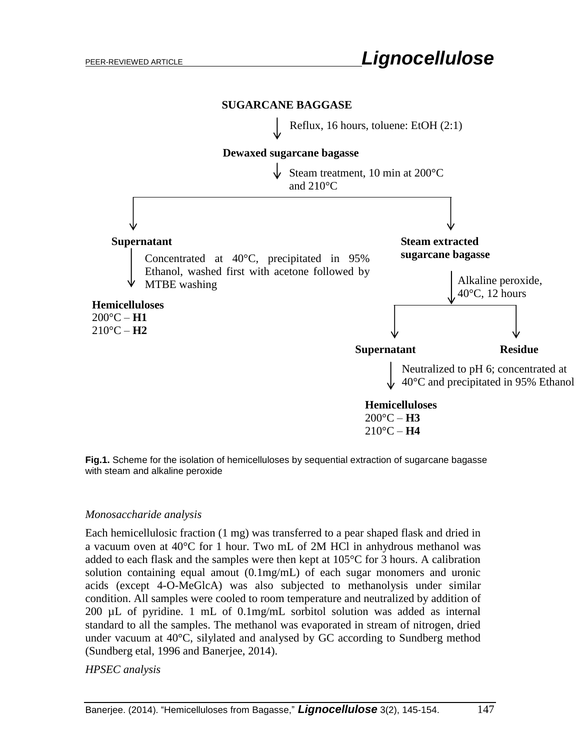

**Fig.1.** Scheme for the isolation of hemicelluloses by sequential extraction of sugarcane bagasse with steam and alkaline peroxide

# *Monosaccharide analysis*

Each hemicellulosic fraction (1 mg) was transferred to a pear shaped flask and dried in a vacuum oven at 40°C for 1 hour. Two mL of 2M HCl in anhydrous methanol was added to each flask and the samples were then kept at 105°C for 3 hours. A calibration solution containing equal amout (0.1mg/mL) of each sugar monomers and uronic acids (except 4-O-MeGlcA) was also subjected to methanolysis under similar condition. All samples were cooled to room temperature and neutralized by addition of 200 µL of pyridine. 1 mL of 0.1mg/mL sorbitol solution was added as internal standard to all the samples. The methanol was evaporated in stream of nitrogen, dried under vacuum at 40°C, silylated and analysed by GC according to Sundberg method (Sundberg etal, 1996 and Banerjee, 2014).

*HPSEC analysis*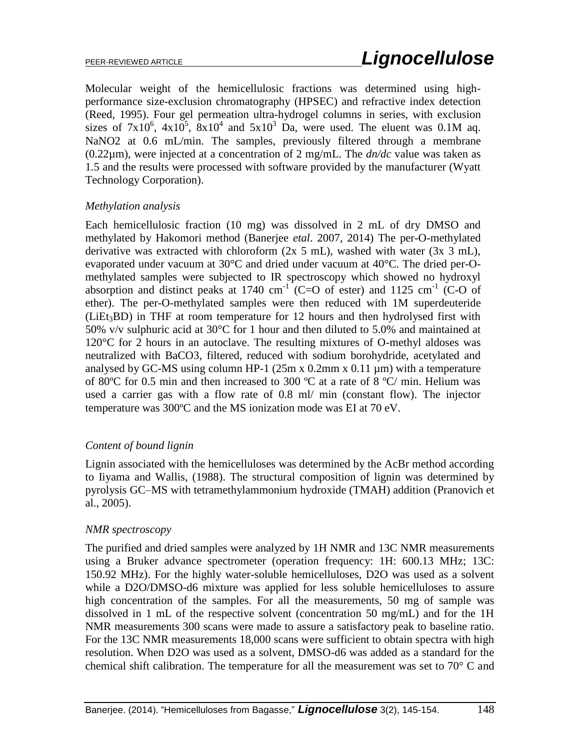Molecular weight of the hemicellulosic fractions was determined using highperformance size-exclusion chromatography (HPSEC) and refractive index detection (Reed, 1995). Four gel permeation ultra-hydrogel columns in series, with exclusion sizes of  $7x10^6$ ,  $4x10^5$ ,  $8x10^4$  and  $5x10^3$  Da, were used. The eluent was 0.1M aq. NaNO2 at 0.6 mL/min. The samples, previously filtered through a membrane (0.22µm), were injected at a concentration of 2 mg/mL. The *dn/dc* value was taken as 1.5 and the results were processed with software provided by the manufacturer (Wyatt Technology Corporation).

#### *Methylation analysis*

Each hemicellulosic fraction (10 mg) was dissolved in 2 mL of dry DMSO and methylated by Hakomori method (Banerjee *etal*. 2007, 2014) The per-O-methylated derivative was extracted with chloroform  $(2x 5 mL)$ , washed with water  $(3x 3 mL)$ , evaporated under vacuum at 30°C and dried under vacuum at 40°C. The dried per-Omethylated samples were subjected to IR spectroscopy which showed no hydroxyl absorption and distinct peaks at 1740 cm<sup>-1</sup> (C=O of ester) and 1125 cm<sup>-1</sup> (C-O of ether). The per-O-methylated samples were then reduced with 1M superdeuteride  $(LiEt<sub>3</sub>BD)$  in THF at room temperature for 12 hours and then hydrolysed first with 50% v/v sulphuric acid at 30 $^{\circ}$ C for 1 hour and then diluted to 5.0% and maintained at 120°C for 2 hours in an autoclave. The resulting mixtures of O-methyl aldoses was neutralized with BaCO3, filtered, reduced with sodium borohydride, acetylated and analysed by GC-MS using column HP-1 (25m x 0.2mm x 0.11 µm) with a temperature of 80 $\degree$ C for 0.5 min and then increased to 300  $\degree$ C at a rate of 8  $\degree$ C/ min. Helium was used a carrier gas with a flow rate of 0.8 ml/ min (constant flow). The injector temperature was 300ºC and the MS ionization mode was EI at 70 eV.

#### *Content of bound lignin*

Lignin associated with the hemicelluloses was determined by the AcBr method according to Iiyama and Wallis, (1988). The structural composition of lignin was determined by pyrolysis GC–MS with tetramethylammonium hydroxide (TMAH) addition (Pranovich et al., 2005).

#### *NMR spectroscopy*

The purified and dried samples were analyzed by 1H NMR and 13C NMR measurements using a Bruker advance spectrometer (operation frequency: 1H: 600.13 MHz; 13C: 150.92 MHz). For the highly water-soluble hemicelluloses, D2O was used as a solvent while a D2O/DMSO-d6 mixture was applied for less soluble hemicelluloses to assure high concentration of the samples. For all the measurements, 50 mg of sample was dissolved in 1 mL of the respective solvent (concentration 50 mg/mL) and for the 1H NMR measurements 300 scans were made to assure a satisfactory peak to baseline ratio. For the 13C NMR measurements 18,000 scans were sufficient to obtain spectra with high resolution. When D2O was used as a solvent, DMSO-d6 was added as a standard for the chemical shift calibration. The temperature for all the measurement was set to 70° C and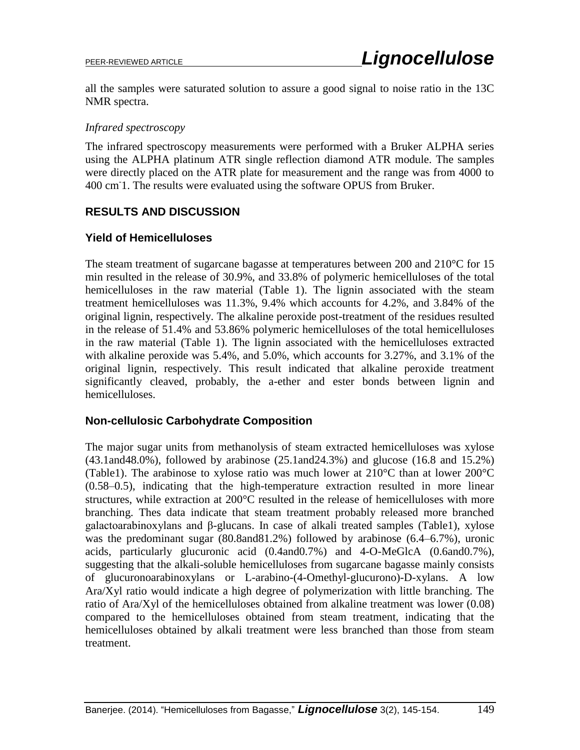all the samples were saturated solution to assure a good signal to noise ratio in the 13C NMR spectra.

### *Infrared spectroscopy*

The infrared spectroscopy measurements were performed with a Bruker ALPHA series using the ALPHA platinum ATR single reflection diamond ATR module. The samples were directly placed on the ATR plate for measurement and the range was from 4000 to 400 cm-1. The results were evaluated using the software OPUS from Bruker.

# **RESULTS AND DISCUSSION**

### **Yield of Hemicelluloses**

The steam treatment of sugarcane bagasse at temperatures between 200 and  $210^{\circ}$ C for 15 min resulted in the release of 30.9%, and 33.8% of polymeric hemicelluloses of the total hemicelluloses in the raw material (Table 1). The lignin associated with the steam treatment hemicelluloses was 11.3%, 9.4% which accounts for 4.2%, and 3.84% of the original lignin, respectively. The alkaline peroxide post-treatment of the residues resulted in the release of 51.4% and 53.86% polymeric hemicelluloses of the total hemicelluloses in the raw material (Table 1). The lignin associated with the hemicelluloses extracted with alkaline peroxide was 5.4%, and 5.0%, which accounts for 3.27%, and 3.1% of the original lignin, respectively. This result indicated that alkaline peroxide treatment significantly cleaved, probably, the a-ether and ester bonds between lignin and hemicelluloses.

### **Non-cellulosic Carbohydrate Composition**

The major sugar units from methanolysis of steam extracted hemicelluloses was xylose (43.1and48.0%), followed by arabinose (25.1and24.3%) and glucose (16.8 and 15.2%) (Table1). The arabinose to xylose ratio was much lower at 210°C than at lower 200°C (0.58–0.5), indicating that the high-temperature extraction resulted in more linear structures, while extraction at 200°C resulted in the release of hemicelluloses with more branching. Thes data indicate that steam treatment probably released more branched galactoarabinoxylans and β-glucans. In case of alkali treated samples (Table1), xylose was the predominant sugar (80.8and81.2%) followed by arabinose (6.4–6.7%), uronic acids, particularly glucuronic acid (0.4and0.7%) and 4-O-MeGlcA (0.6and0.7%), suggesting that the alkali-soluble hemicelluloses from sugarcane bagasse mainly consists of glucuronoarabinoxylans or L-arabino-(4-Omethyl-glucurono)-D-xylans. A low Ara/Xyl ratio would indicate a high degree of polymerization with little branching. The ratio of Ara/Xyl of the hemicelluloses obtained from alkaline treatment was lower (0.08) compared to the hemicelluloses obtained from steam treatment, indicating that the hemicelluloses obtained by alkali treatment were less branched than those from steam treatment.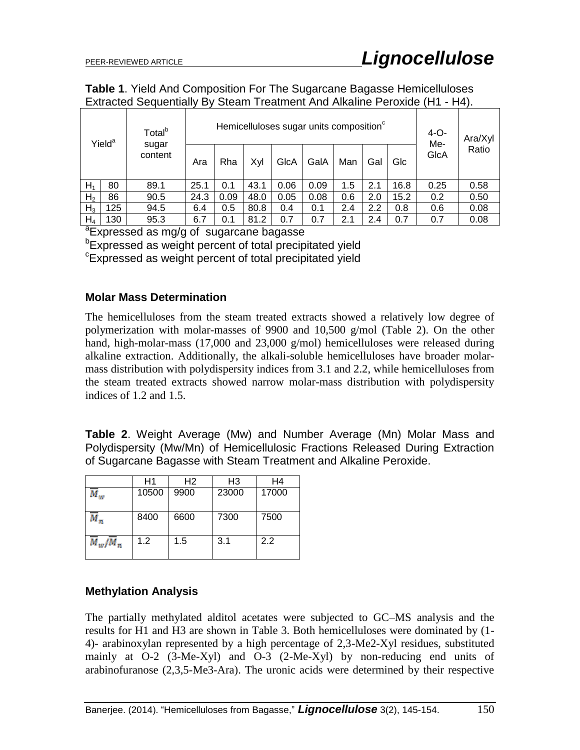### **Table 1**. Yield And Composition For The Sugarcane Bagasse Hemicelluloses Extracted Sequentially By Steam Treatment And Alkaline Peroxide (H1 - H4).

| Yield <sup>a</sup> |     | Total <sup>b</sup><br>sugar<br>content | Hemicelluloses sugar units composition <sup>c</sup> |      |      |      |      |     | $4-O-$<br>Me- | Ara/Xyl |      |       |
|--------------------|-----|----------------------------------------|-----------------------------------------------------|------|------|------|------|-----|---------------|---------|------|-------|
|                    |     |                                        | Ara                                                 | Rha  | Xyl  | GlcA | GalA | Man | Gal           | Glc     | GlcA | Ratio |
| $H_1$              | 80  | 89.1                                   | 25.1                                                | 0.1  | 43.1 | 0.06 | 0.09 | 1.5 | 2.1           | 16.8    | 0.25 | 0.58  |
| H <sub>2</sub>     | 86  | 90.5                                   | 24.3                                                | 0.09 | 48.0 | 0.05 | 0.08 | 0.6 | 2.0           | 15.2    | 0.2  | 0.50  |
| $H_3$              | 125 | 94.5                                   | 6.4                                                 | 0.5  | 80.8 | 0.4  | 0.1  | 2.4 | 2.2           | 0.8     | 0.6  | 0.08  |
| $H_4$              | 130 | 95.3                                   | 6.7                                                 | 0.1  | 81.2 | 0.7  | 0.7  | 2.1 | 2.4           | 0.7     | 0.7  | 0.08  |

<sup>a</sup>Expressed as mg/g of sugarcane bagasse

**bExpressed as weight percent of total precipitated yield** 

**Expressed as weight percent of total precipitated vield** 

### **Molar Mass Determination**

The hemicelluloses from the steam treated extracts showed a relatively low degree of polymerization with molar-masses of 9900 and 10,500 g/mol (Table 2). On the other hand, high-molar-mass (17,000 and 23,000 g/mol) hemicelluloses were released during alkaline extraction. Additionally, the alkali-soluble hemicelluloses have broader molarmass distribution with polydispersity indices from 3.1 and 2.2, while hemicelluloses from the steam treated extracts showed narrow molar-mass distribution with polydispersity indices of 1.2 and 1.5.

**Table 2**. Weight Average (Mw) and Number Average (Mn) Molar Mass and Polydispersity (Mw/Mn) of Hemicellulosic Fractions Released During Extraction of Sugarcane Bagasse with Steam Treatment and Alkaline Peroxide.

|                                 | H1    | H <sub>2</sub> | H3    | H4    |
|---------------------------------|-------|----------------|-------|-------|
| $\overline{M}_w$                | 10500 | 9900           | 23000 | 17000 |
| $M_n$                           | 8400  | 6600           | 7300  | 7500  |
| $\overline{M}_w/\overline{M}_n$ | 1.2   | 1.5            | 3.1   | 2.2   |

### **Methylation Analysis**

The partially methylated alditol acetates were subjected to GC–MS analysis and the results for H1 and H3 are shown in Table 3. Both hemicelluloses were dominated by (1- 4)- arabinoxylan represented by a high percentage of 2,3-Me2-Xyl residues, substituted mainly at O-2 (3-Me-Xyl) and O-3 (2-Me-Xyl) by non-reducing end units of arabinofuranose (2,3,5-Me3-Ara). The uronic acids were determined by their respective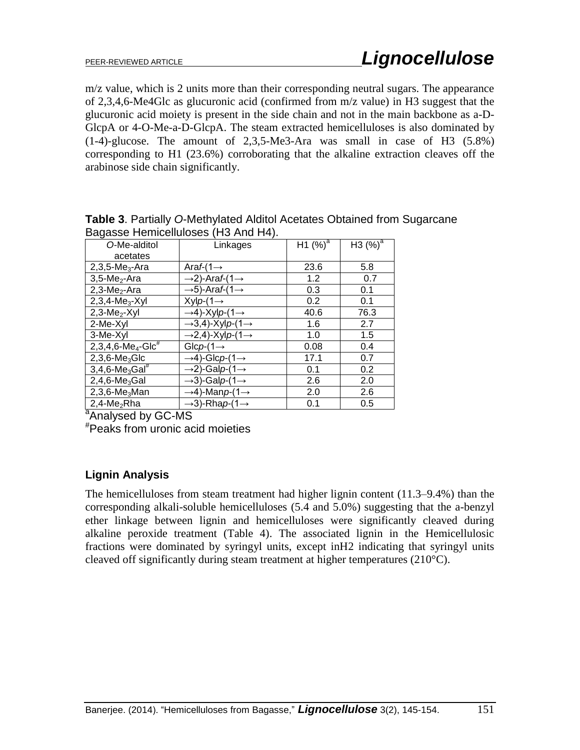m/z value, which is 2 units more than their corresponding neutral sugars. The appearance of 2,3,4,6-Me4Glc as glucuronic acid (confirmed from m/z value) in H3 suggest that the glucuronic acid moiety is present in the side chain and not in the main backbone as a-D-GlcpA or 4-O-Me-a-D-GlcpA. The steam extracted hemicelluloses is also dominated by (1-4)-glucose. The amount of 2,3,5-Me3-Ara was small in case of H3 (5.8%) corresponding to H1 (23.6%) corroborating that the alkaline extraction cleaves off the arabinose side chain significantly.

| O-Me-alditol                                 | Linkages                                            | $H1 (%)^a$ | H3 (%) <sup>a</sup> |
|----------------------------------------------|-----------------------------------------------------|------------|---------------------|
| acetates                                     |                                                     |            |                     |
| $2,3,5-Me_3$ -Ara                            | Araf-(1 $\rightarrow$                               | 23.6       | 5.8                 |
| $3,5$ -Me <sub>2</sub> -Ara                  | $\rightarrow$ 2)-Araf-(1 $\rightarrow$              | 1.2        | 0.7                 |
| $2,3$ -Me <sub>2</sub> -Ara                  | $\rightarrow$ 5)-Araf-(1 $\rightarrow$              | 0.3        | 0.1                 |
| $2,3,4-Me3-Xyl$                              | $Xylp-(1 \rightarrow$                               | 0.2        | 0.1                 |
| $2,3-Me2-Xyl$                                | $\rightarrow$ 4)-Xylp-(1 $\rightarrow$              | 40.6       | 76.3                |
| 2-Me-Xyl                                     | $\overline{\rightarrow}$ 3,4)-Xylp-(1 $\rightarrow$ | 1.6        | 2.7                 |
| 3-Me-Xyl                                     | $\rightarrow$ 2,4)-Xylp-(1 $\rightarrow$            | 1.0        | 1.5                 |
| $2,3,4,6$ -Me <sub>4</sub> -Glc <sup>#</sup> | Glcp- $(1 \rightarrow$                              | 0.08       | 0.4                 |
| $2,3,6$ -Me <sub>3</sub> Glc                 | $\rightarrow$ 4)-Glcp-(1 $\rightarrow$              | 17.1       | 0.7                 |
| $3,4,6$ -Me <sub>3</sub> Gal <sup>#</sup>    | $\rightarrow$ 2)-Galp-(1 $\rightarrow$              | 0.1        | 0.2                 |
| $2,4,6$ -Me <sub>3</sub> Gal                 | $\rightarrow$ 3)-Galp-(1 $\rightarrow$              | 2.6        | 2.0                 |
| $2,3,6$ -Me <sub>3</sub> Man                 | $\rightarrow$ 4)-Manp-(1 $\rightarrow$              | 2.0        | 2.6                 |
| $2.4$ -Me <sub>2</sub> Rha                   | $\rightarrow$ 3)-Rhap-(1 $\rightarrow$              | 0.1        | 0.5                 |

**Table 3**. Partially *O*-Methylated Alditol Acetates Obtained from Sugarcane Bagasse Hemicelluloses (H3 And H4).

aAnalysed by GC-MS

#Peaks from uronic acid moieties

### **Lignin Analysis**

The hemicelluloses from steam treatment had higher lignin content (11.3–9.4%) than the corresponding alkali-soluble hemicelluloses (5.4 and 5.0%) suggesting that the a-benzyl ether linkage between lignin and hemicelluloses were significantly cleaved during alkaline peroxide treatment (Table 4). The associated lignin in the Hemicellulosic fractions were dominated by syringyl units, except inH2 indicating that syringyl units cleaved off significantly during steam treatment at higher temperatures (210°C).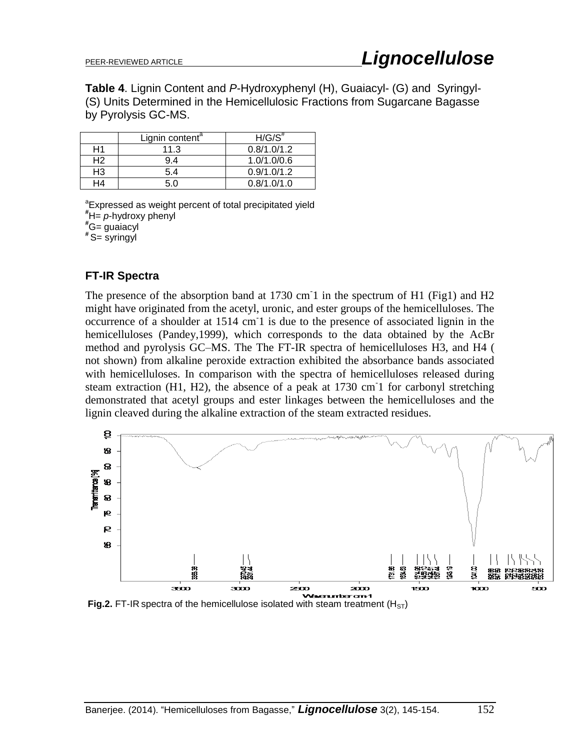**Table 4**. Lignin Content and *P*-Hydroxyphenyl (H), Guaiacyl- (G) and Syringyl- (S) Units Determined in the Hemicellulosic Fractions from Sugarcane Bagasse by Pyrolysis GC-MS.

|                | Lignin content <sup>a</sup> | $H/G/S^*$   |
|----------------|-----------------------------|-------------|
| H1             | 11.3                        | 0.8/1.0/1.2 |
| H <sub>2</sub> | 9.4                         | 1.0/1.0/0.6 |
| H3             | 5.4                         | 0.9/1.0/1.2 |
| 44             |                             | 0.8/1.0/1.0 |

<sup>a</sup>Expressed as weight percent of total precipitated yield

**#**H= *p*-hydroxy phenyl

**#**G= guaiacyl

**#** S= syringyl

### **FT-IR Spectra**

The presence of the absorption band at 1730 cm<sup>-1</sup> in the spectrum of H1 (Fig1) and H2 might have originated from the acetyl, uronic, and ester groups of the hemicelluloses. The occurrence of a shoulder at 1514 cm-1 is due to the presence of associated lignin in the hemicelluloses (Pandey,1999), which corresponds to the data obtained by the AcBr method and pyrolysis GC–MS. The The FT-IR spectra of hemicelluloses H3, and H4 ( not shown) from alkaline peroxide extraction exhibited the absorbance bands associated with hemicelluloses. In comparison with the spectra of hemicelluloses released during steam extraction (H1, H2), the absence of a peak at  $1730 \text{ cm}$ <sup>1</sup> for carbonyl stretching demonstrated that acetyl groups and ester linkages between the hemicelluloses and the lignin cleaved during the alkaline extraction of the steam extracted residues.



**Fig.2.** FT-IR spectra of the hemicellulose isolated with steam treatment ( $H_{ST}$ )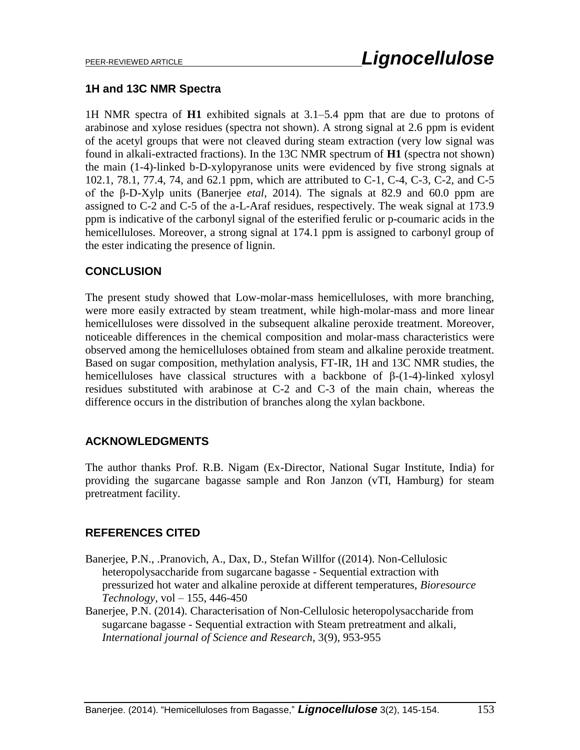### **1H and 13C NMR Spectra**

1H NMR spectra of **H1** exhibited signals at 3.1–5.4 ppm that are due to protons of arabinose and xylose residues (spectra not shown). A strong signal at 2.6 ppm is evident of the acetyl groups that were not cleaved during steam extraction (very low signal was found in alkali-extracted fractions). In the 13C NMR spectrum of **H1** (spectra not shown) the main (1-4)-linked b-D-xylopyranose units were evidenced by five strong signals at 102.1, 78.1, 77.4, 74, and 62.1 ppm, which are attributed to C-1, C-4, C-3, C-2, and C-5 of the β-D-Xylp units (Banerjee *etal*, 2014). The signals at 82.9 and 60.0 ppm are assigned to C-2 and C-5 of the a-L-Araf residues, respectively. The weak signal at 173.9 ppm is indicative of the carbonyl signal of the esterified ferulic or p-coumaric acids in the hemicelluloses. Moreover, a strong signal at 174.1 ppm is assigned to carbonyl group of the ester indicating the presence of lignin.

## **CONCLUSION**

The present study showed that Low-molar-mass hemicelluloses, with more branching, were more easily extracted by steam treatment, while high-molar-mass and more linear hemicelluloses were dissolved in the subsequent alkaline peroxide treatment. Moreover, noticeable differences in the chemical composition and molar-mass characteristics were observed among the hemicelluloses obtained from steam and alkaline peroxide treatment. Based on sugar composition, methylation analysis, FT-IR, 1H and 13C NMR studies, the hemicelluloses have classical structures with a backbone of β-(1-4)-linked xylosyl residues substituted with arabinose at C-2 and C-3 of the main chain, whereas the difference occurs in the distribution of branches along the xylan backbone.

# **ACKNOWLEDGMENTS**

The author thanks Prof. R.B. Nigam (Ex-Director, National Sugar Institute, India) for providing the sugarcane bagasse sample and Ron Janzon (vTI, Hamburg) for steam pretreatment facility.

# **REFERENCES CITED**

- Banerjee, P.N., .Pranovich, A., Dax, D., Stefan Willfor ((2014). Non-Cellulosic heteropolysaccharide from sugarcane bagasse - Sequential extraction with pressurized hot water and alkaline peroxide at different temperatures, *Bioresource Technology*, vol – 155, 446-450
- Banerjee, P.N. (2014). Characterisation of Non-Cellulosic heteropolysaccharide from sugarcane bagasse - Sequential extraction with Steam pretreatment and alkali, *International journal of Science and Research*, 3(9), 953-955